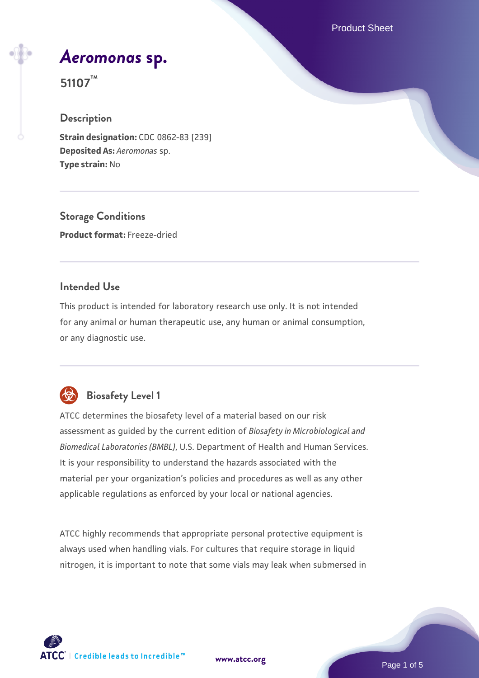Product Sheet

# *[Aeromonas](https://www.atcc.org/products/51107)* **[sp.](https://www.atcc.org/products/51107)**

**51107™**

## **Description**

**Strain designation:** CDC 0862-83 [239] **Deposited As:** *Aeromonas* sp. **Type strain:** No

**Storage Conditions Product format:** Freeze-dried

## **Intended Use**

This product is intended for laboratory research use only. It is not intended for any animal or human therapeutic use, any human or animal consumption, or any diagnostic use.



## **Biosafety Level 1**

ATCC determines the biosafety level of a material based on our risk assessment as guided by the current edition of *Biosafety in Microbiological and Biomedical Laboratories (BMBL)*, U.S. Department of Health and Human Services. It is your responsibility to understand the hazards associated with the material per your organization's policies and procedures as well as any other applicable regulations as enforced by your local or national agencies.

ATCC highly recommends that appropriate personal protective equipment is always used when handling vials. For cultures that require storage in liquid nitrogen, it is important to note that some vials may leak when submersed in

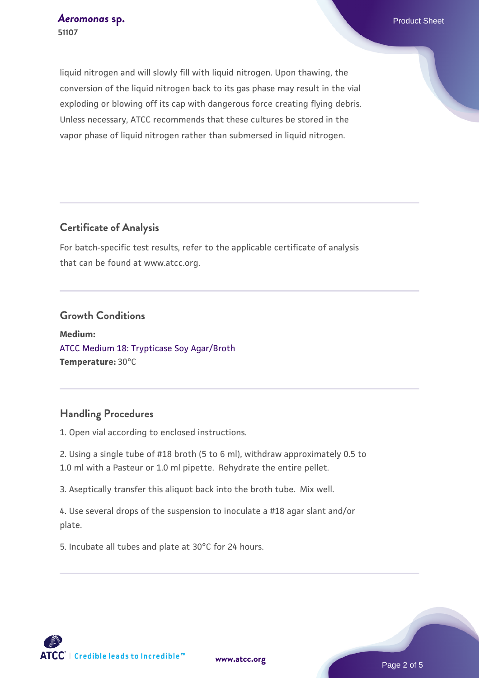liquid nitrogen and will slowly fill with liquid nitrogen. Upon thawing, the conversion of the liquid nitrogen back to its gas phase may result in the vial exploding or blowing off its cap with dangerous force creating flying debris. Unless necessary, ATCC recommends that these cultures be stored in the vapor phase of liquid nitrogen rather than submersed in liquid nitrogen.

## **Certificate of Analysis**

For batch-specific test results, refer to the applicable certificate of analysis that can be found at www.atcc.org.

#### **Growth Conditions**

**Medium:**  [ATCC Medium 18: Trypticase Soy Agar/Broth](https://www.atcc.org/-/media/product-assets/documents/microbial-media-formulations/1/8/atcc-medium-18.pdf?rev=832846e1425841f19fc70569848edae7) **Temperature:** 30°C

## **Handling Procedures**

1. Open vial according to enclosed instructions.

2. Using a single tube of #18 broth (5 to 6 ml), withdraw approximately 0.5 to 1.0 ml with a Pasteur or 1.0 ml pipette. Rehydrate the entire pellet.

3. Aseptically transfer this aliquot back into the broth tube. Mix well.

4. Use several drops of the suspension to inoculate a #18 agar slant and/or plate.

5. Incubate all tubes and plate at 30°C for 24 hours.

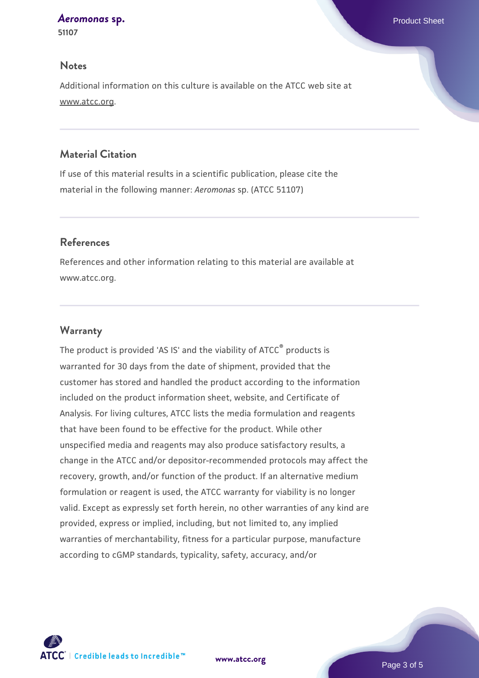#### *[Aeromonas](https://www.atcc.org/products/51107)* **[sp.](https://www.atcc.org/products/51107)** Product Sheet

**51107**

#### **Notes**

Additional information on this culture is available on the ATCC web site at www.atcc.org.

### **Material Citation**

If use of this material results in a scientific publication, please cite the material in the following manner: *Aeromonas* sp. (ATCC 51107)

#### **References**

References and other information relating to this material are available at www.atcc.org.

#### **Warranty**

The product is provided 'AS IS' and the viability of ATCC® products is warranted for 30 days from the date of shipment, provided that the customer has stored and handled the product according to the information included on the product information sheet, website, and Certificate of Analysis. For living cultures, ATCC lists the media formulation and reagents that have been found to be effective for the product. While other unspecified media and reagents may also produce satisfactory results, a change in the ATCC and/or depositor-recommended protocols may affect the recovery, growth, and/or function of the product. If an alternative medium formulation or reagent is used, the ATCC warranty for viability is no longer valid. Except as expressly set forth herein, no other warranties of any kind are provided, express or implied, including, but not limited to, any implied warranties of merchantability, fitness for a particular purpose, manufacture according to cGMP standards, typicality, safety, accuracy, and/or



**[www.atcc.org](http://www.atcc.org)**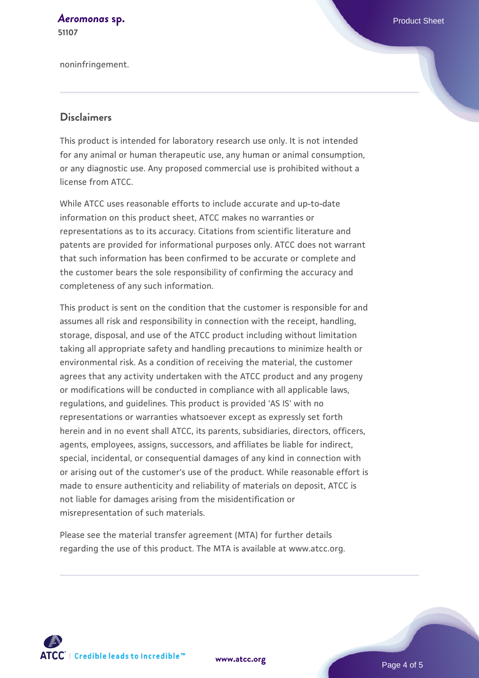#### *[Aeromonas](https://www.atcc.org/products/51107)* **[sp.](https://www.atcc.org/products/51107)** Product Sheet **51107**

noninfringement.

#### **Disclaimers**

This product is intended for laboratory research use only. It is not intended for any animal or human therapeutic use, any human or animal consumption, or any diagnostic use. Any proposed commercial use is prohibited without a license from ATCC.

While ATCC uses reasonable efforts to include accurate and up-to-date information on this product sheet, ATCC makes no warranties or representations as to its accuracy. Citations from scientific literature and patents are provided for informational purposes only. ATCC does not warrant that such information has been confirmed to be accurate or complete and the customer bears the sole responsibility of confirming the accuracy and completeness of any such information.

This product is sent on the condition that the customer is responsible for and assumes all risk and responsibility in connection with the receipt, handling, storage, disposal, and use of the ATCC product including without limitation taking all appropriate safety and handling precautions to minimize health or environmental risk. As a condition of receiving the material, the customer agrees that any activity undertaken with the ATCC product and any progeny or modifications will be conducted in compliance with all applicable laws, regulations, and guidelines. This product is provided 'AS IS' with no representations or warranties whatsoever except as expressly set forth herein and in no event shall ATCC, its parents, subsidiaries, directors, officers, agents, employees, assigns, successors, and affiliates be liable for indirect, special, incidental, or consequential damages of any kind in connection with or arising out of the customer's use of the product. While reasonable effort is made to ensure authenticity and reliability of materials on deposit, ATCC is not liable for damages arising from the misidentification or misrepresentation of such materials.

Please see the material transfer agreement (MTA) for further details regarding the use of this product. The MTA is available at www.atcc.org.



**[www.atcc.org](http://www.atcc.org)**

Page 4 of 5